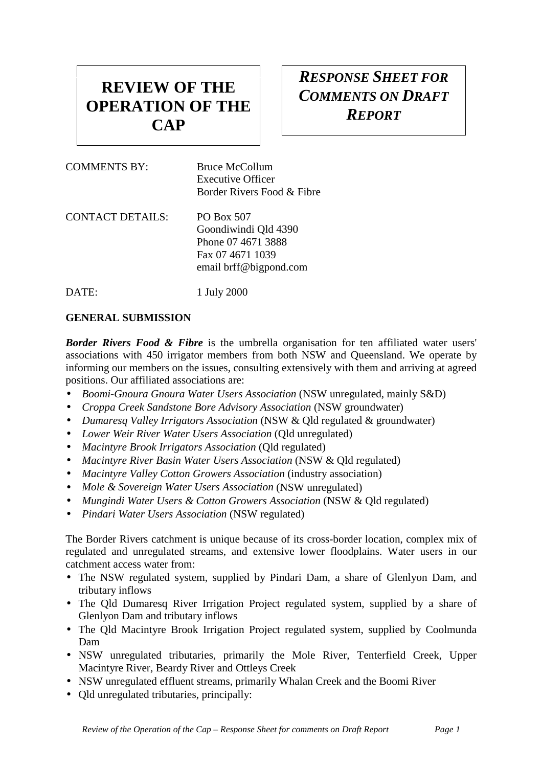# **REVIEW OF THE OPERATION OF THE CAP**

## *RESPONSE SHEET FOR COMMENTS ON DRAFT REPORT*

| <b>COMMENTS BY:</b> | Bruce McCollum<br>Executive Officer<br>Border Rivers Food & Fibre                                      |
|---------------------|--------------------------------------------------------------------------------------------------------|
| CONTACT DETAILS:    | PO Box 507<br>Goondiwindi Qld 4390<br>Phone 07 4671 3888<br>Fax 07 4671 1039<br>email brff@bigpond.com |

DATE: 1 July 2000

#### **GENERAL SUBMISSION**

**Border Rivers Food & Fibre** is the umbrella organisation for ten affiliated water users' associations with 450 irrigator members from both NSW and Queensland. We operate by informing our members on the issues, consulting extensively with them and arriving at agreed positions. Our affiliated associations are:

- *Boomi-Gnoura Gnoura Water Users Association* (NSW unregulated, mainly S&D)
- *Croppa Creek Sandstone Bore Advisory Association* (NSW groundwater)
- *Dumaresq Valley Irrigators Association* (NSW & Qld regulated & groundwater)
- *Lower Weir River Water Users Association* (Qld unregulated)
- *Macintyre Brook Irrigators Association* (Qld regulated)
- *Macintyre River Basin Water Users Association* (NSW & Qld regulated)
- *Macintyre Valley Cotton Growers Association* (industry association)
- *Mole & Sovereign Water Users Association* (NSW unregulated)
- *Mungindi Water Users & Cotton Growers Association* (NSW & Qld regulated)
- *Pindari Water Users Association* (NSW regulated)

The Border Rivers catchment is unique because of its cross-border location, complex mix of regulated and unregulated streams, and extensive lower floodplains. Water users in our catchment access water from:

- The NSW regulated system, supplied by Pindari Dam, a share of Glenlyon Dam, and tributary inflows
- The Old Dumaresq River Irrigation Project regulated system, supplied by a share of Glenlyon Dam and tributary inflows
- The Qld Macintyre Brook Irrigation Project regulated system, supplied by Coolmunda Dam
- NSW unregulated tributaries, primarily the Mole River, Tenterfield Creek, Upper Macintyre River, Beardy River and Ottleys Creek
- NSW unregulated effluent streams, primarily Whalan Creek and the Boomi River
- Qld unregulated tributaries, principally: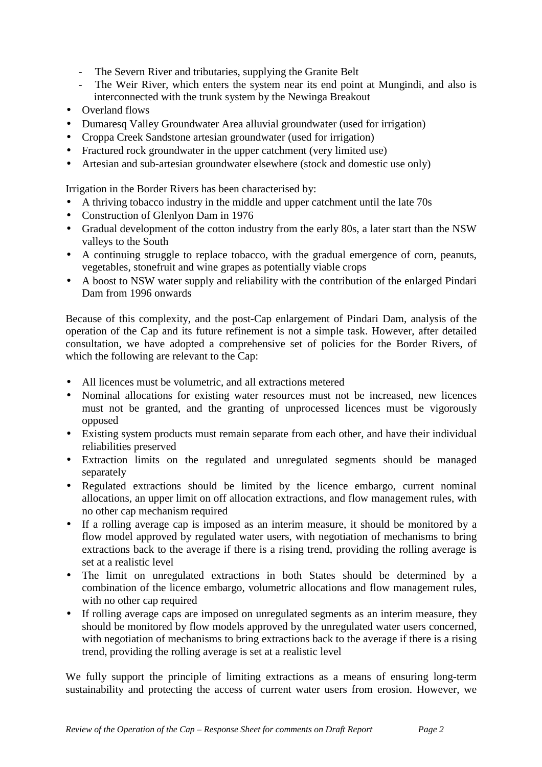- The Severn River and tributaries, supplying the Granite Belt
- The Weir River, which enters the system near its end point at Mungindi, and also is interconnected with the trunk system by the Newinga Breakout
- Overland flows
- Dumaresq Valley Groundwater Area alluvial groundwater (used for irrigation)
- Croppa Creek Sandstone artesian groundwater (used for irrigation)
- Fractured rock groundwater in the upper catchment (very limited use)
- Artesian and sub-artesian groundwater elsewhere (stock and domestic use only)

Irrigation in the Border Rivers has been characterised by:

- A thriving tobacco industry in the middle and upper catchment until the late 70s
- Construction of Glenlyon Dam in 1976
- Gradual development of the cotton industry from the early 80s, a later start than the NSW valleys to the South
- A continuing struggle to replace tobacco, with the gradual emergence of corn, peanuts, vegetables, stonefruit and wine grapes as potentially viable crops
- A boost to NSW water supply and reliability with the contribution of the enlarged Pindari Dam from 1996 onwards

Because of this complexity, and the post-Cap enlargement of Pindari Dam, analysis of the operation of the Cap and its future refinement is not a simple task. However, after detailed consultation, we have adopted a comprehensive set of policies for the Border Rivers, of which the following are relevant to the Cap:

- All licences must be volumetric, and all extractions metered
- Nominal allocations for existing water resources must not be increased, new licences must not be granted, and the granting of unprocessed licences must be vigorously opposed
- Existing system products must remain separate from each other, and have their individual reliabilities preserved
- Extraction limits on the regulated and unregulated segments should be managed separately
- Regulated extractions should be limited by the licence embargo, current nominal allocations, an upper limit on off allocation extractions, and flow management rules, with no other cap mechanism required
- If a rolling average cap is imposed as an interim measure, it should be monitored by a flow model approved by regulated water users, with negotiation of mechanisms to bring extractions back to the average if there is a rising trend, providing the rolling average is set at a realistic level
- The limit on unregulated extractions in both States should be determined by a combination of the licence embargo, volumetric allocations and flow management rules, with no other cap required
- If rolling average caps are imposed on unregulated segments as an interim measure, they should be monitored by flow models approved by the unregulated water users concerned, with negotiation of mechanisms to bring extractions back to the average if there is a rising trend, providing the rolling average is set at a realistic level

We fully support the principle of limiting extractions as a means of ensuring long-term sustainability and protecting the access of current water users from erosion. However, we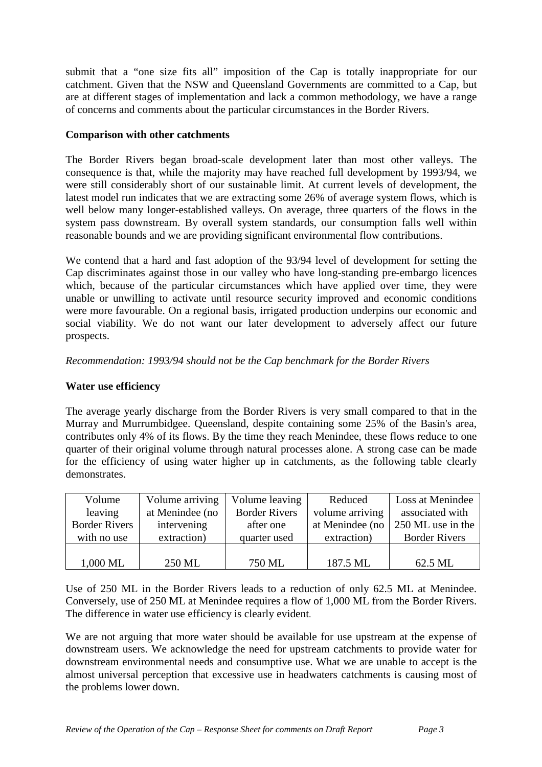submit that a "one size fits all" imposition of the Cap is totally inappropriate for our catchment. Given that the NSW and Queensland Governments are committed to a Cap, but are at different stages of implementation and lack a common methodology, we have a range of concerns and comments about the particular circumstances in the Border Rivers.

#### **Comparison with other catchments**

The Border Rivers began broad-scale development later than most other valleys. The consequence is that, while the majority may have reached full development by 1993/94, we were still considerably short of our sustainable limit. At current levels of development, the latest model run indicates that we are extracting some 26% of average system flows, which is well below many longer-established valleys. On average, three quarters of the flows in the system pass downstream. By overall system standards, our consumption falls well within reasonable bounds and we are providing significant environmental flow contributions.

We contend that a hard and fast adoption of the 93/94 level of development for setting the Cap discriminates against those in our valley who have long-standing pre-embargo licences which, because of the particular circumstances which have applied over time, they were unable or unwilling to activate until resource security improved and economic conditions were more favourable. On a regional basis, irrigated production underpins our economic and social viability. We do not want our later development to adversely affect our future prospects.

*Recommendation: 1993/94 should not be the Cap benchmark for the Border Rivers*

#### **Water use efficiency**

The average yearly discharge from the Border Rivers is very small compared to that in the Murray and Murrumbidgee. Queensland, despite containing some 25% of the Basin's area, contributes only 4% of its flows. By the time they reach Menindee, these flows reduce to one quarter of their original volume through natural processes alone. A strong case can be made for the efficiency of using water higher up in catchments, as the following table clearly demonstrates.

| Volume               | Volume arriving | Volume leaving       | Reduced         | Loss at Menindee     |
|----------------------|-----------------|----------------------|-----------------|----------------------|
| leaving              | at Menindee (no | <b>Border Rivers</b> | volume arriving | associated with      |
| <b>Border Rivers</b> | intervening     | after one            | at Menindee (no | 250 ML use in the    |
| with no use          | extraction)     | quarter used         | extraction)     | <b>Border Rivers</b> |
|                      |                 |                      |                 |                      |
| 1,000 ML             | 250 ML          | 750 ML               | 187.5 ML        | 62.5 ML              |

Use of 250 ML in the Border Rivers leads to a reduction of only 62.5 ML at Menindee. Conversely, use of 250 ML at Menindee requires a flow of 1,000 ML from the Border Rivers. The difference in water use efficiency is clearly evident.

We are not arguing that more water should be available for use upstream at the expense of downstream users. We acknowledge the need for upstream catchments to provide water for downstream environmental needs and consumptive use. What we are unable to accept is the almost universal perception that excessive use in headwaters catchments is causing most of the problems lower down.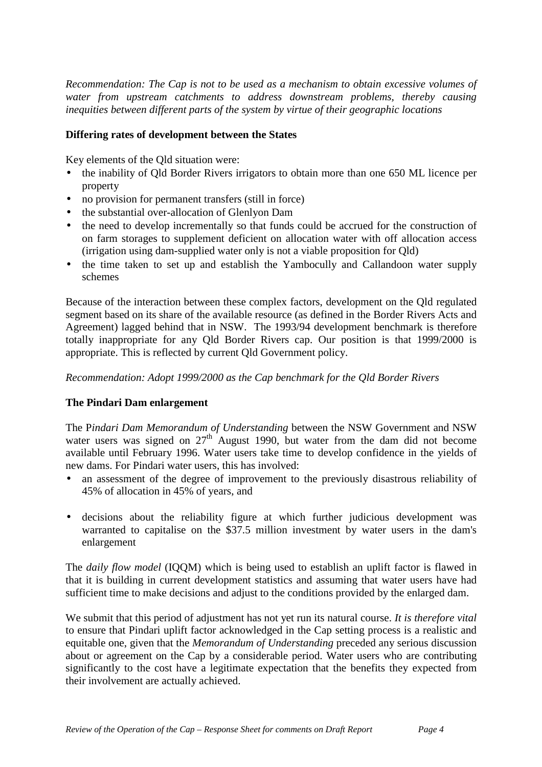*Recommendation: The Cap is not to be used as a mechanism to obtain excessive volumes of water from upstream catchments to address downstream problems, thereby causing inequities between different parts of the system by virtue of their geographic locations*

#### **Differing rates of development between the States**

Key elements of the Qld situation were:

- the inability of Qld Border Rivers irrigators to obtain more than one 650 ML licence per property
- no provision for permanent transfers (still in force)
- the substantial over-allocation of Glenlyon Dam
- the need to develop incrementally so that funds could be accrued for the construction of on farm storages to supplement deficient on allocation water with off allocation access (irrigation using dam-supplied water only is not a viable proposition for Qld)
- the time taken to set up and establish the Yambocully and Callandoon water supply schemes

Because of the interaction between these complex factors, development on the Qld regulated segment based on its share of the available resource (as defined in the Border Rivers Acts and Agreement) lagged behind that in NSW. The 1993/94 development benchmark is therefore totally inappropriate for any Qld Border Rivers cap. Our position is that 1999/2000 is appropriate. This is reflected by current Qld Government policy.

*Recommendation: Adopt 1999/2000 as the Cap benchmark for the Qld Border Rivers*

#### **The Pindari Dam enlargement**

The P*indari Dam Memorandum of Understanding* between the NSW Government and NSW water users was signed on  $27<sup>th</sup>$  August 1990, but water from the dam did not become available until February 1996. Water users take time to develop confidence in the yields of new dams. For Pindari water users, this has involved:

- an assessment of the degree of improvement to the previously disastrous reliability of 45% of allocation in 45% of years, and
- decisions about the reliability figure at which further judicious development was warranted to capitalise on the \$37.5 million investment by water users in the dam's enlargement

The *daily flow model* (IQQM) which is being used to establish an uplift factor is flawed in that it is building in current development statistics and assuming that water users have had sufficient time to make decisions and adjust to the conditions provided by the enlarged dam.

We submit that this period of adjustment has not yet run its natural course. *It is therefore vital* to ensure that Pindari uplift factor acknowledged in the Cap setting process is a realistic and equitable one, given that the *Memorandum of Understanding* preceded any serious discussion about or agreement on the Cap by a considerable period. Water users who are contributing significantly to the cost have a legitimate expectation that the benefits they expected from their involvement are actually achieved.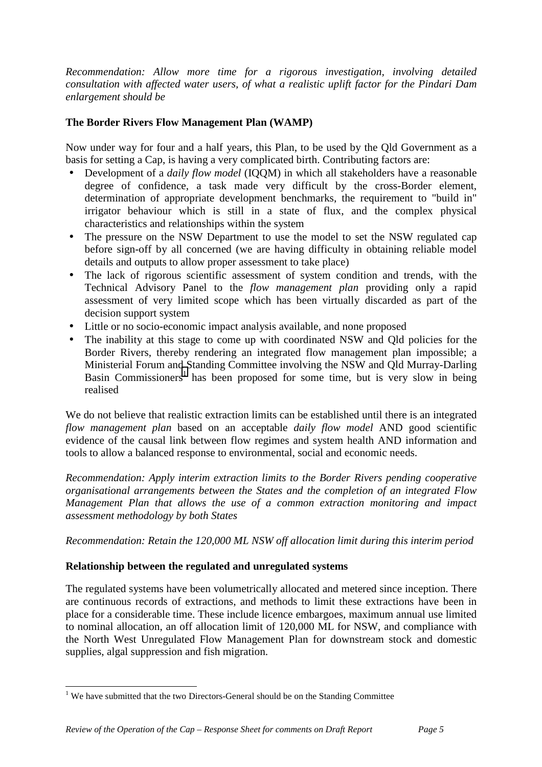*Recommendation: Allow more time for a rigorous investigation, involving detailed consultation with affected water users, of what a realistic uplift factor for the Pindari Dam enlargement should be*

#### **The Border Rivers Flow Management Plan (WAMP)**

Now under way for four and a half years, this Plan, to be used by the Qld Government as a basis for setting a Cap, is having a very complicated birth. Contributing factors are:

- Development of a *daily flow model* (IQQM) in which all stakeholders have a reasonable degree of confidence, a task made very difficult by the cross-Border element, determination of appropriate development benchmarks, the requirement to "build in" irrigator behaviour which is still in a state of flux, and the complex physical characteristics and relationships within the system
- The pressure on the NSW Department to use the model to set the NSW regulated cap before sign-off by all concerned (we are having difficulty in obtaining reliable model details and outputs to allow proper assessment to take place)
- The lack of rigorous scientific assessment of system condition and trends, with the Technical Advisory Panel to the *flow management plan* providing only a rapid assessment of very limited scope which has been virtually discarded as part of the decision support system
- Little or no socio-economic impact analysis available, and none proposed
- The inability at this stage to come up with coordinated NSW and Old policies for the Border Rivers, thereby rendering an integrated flow management plan impossible; a Ministerial Forum and Standing Committee involving the NSW and Qld Murray-Darling Basin Commissioners<sup>1</sup> has been proposed for some time, but is very slow in being realised

We do not believe that realistic extraction limits can be established until there is an integrated *flow management plan* based on an acceptable *daily flow model* AND good scientific evidence of the causal link between flow regimes and system health AND information and tools to allow a balanced response to environmental, social and economic needs.

*Recommendation: Apply interim extraction limits to the Border Rivers pending cooperative organisational arrangements between the States and the completion of an integrated Flow Management Plan that allows the use of a common extraction monitoring and impact assessment methodology by both States*

*Recommendation: Retain the 120,000 ML NSW off allocation limit during this interim period*

#### **Relationship between the regulated and unregulated systems**

The regulated systems have been volumetrically allocated and metered since inception. There are continuous records of extractions, and methods to limit these extractions have been in place for a considerable time. These include licence embargoes, maximum annual use limited to nominal allocation, an off allocation limit of 120,000 ML for NSW, and compliance with the North West Unregulated Flow Management Plan for downstream stock and domestic supplies, algal suppression and fish migration.

 $\overline{a}$ 

 $1$  We have submitted that the two Directors-General should be on the Standing Committee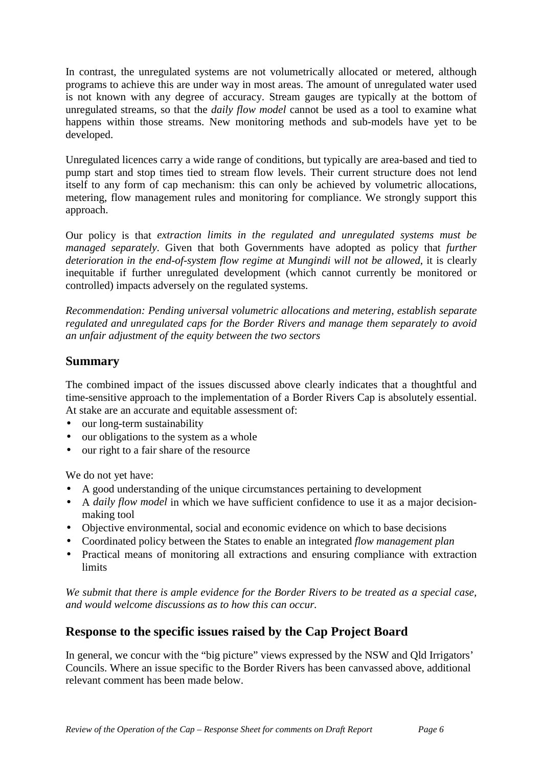In contrast, the unregulated systems are not volumetrically allocated or metered, although programs to achieve this are under way in most areas. The amount of unregulated water used is not known with any degree of accuracy. Stream gauges are typically at the bottom of unregulated streams, so that the *daily flow model* cannot be used as a tool to examine what happens within those streams. New monitoring methods and sub-models have yet to be developed.

Unregulated licences carry a wide range of conditions, but typically are area-based and tied to pump start and stop times tied to stream flow levels. Their current structure does not lend itself to any form of cap mechanism: this can only be achieved by volumetric allocations, metering, flow management rules and monitoring for compliance. We strongly support this approach.

Our policy is that *extraction limits in the regulated and unregulated systems must be managed separately*. Given that both Governments have adopted as policy that *further deterioration in the end-of-system flow regime at Mungindi will not be allowed*, it is clearly inequitable if further unregulated development (which cannot currently be monitored or controlled) impacts adversely on the regulated systems.

*Recommendation: Pending universal volumetric allocations and metering, establish separate regulated and unregulated caps for the Border Rivers and manage them separately to avoid an unfair adjustment of the equity between the two sectors*

### **Summary**

The combined impact of the issues discussed above clearly indicates that a thoughtful and time-sensitive approach to the implementation of a Border Rivers Cap is absolutely essential. At stake are an accurate and equitable assessment of:

- our long-term sustainability
- our obligations to the system as a whole
- our right to a fair share of the resource

We do not yet have:

- A good understanding of the unique circumstances pertaining to development
- A *daily flow model* in which we have sufficient confidence to use it as a major decisionmaking tool
- Objective environmental, social and economic evidence on which to base decisions
- Coordinated policy between the States to enable an integrated *flow management plan*
- Practical means of monitoring all extractions and ensuring compliance with extraction limits

*We submit that there is ample evidence for the Border Rivers to be treated as a special case, and would welcome discussions as to how this can occur.*

### **Response to the specific issues raised by the Cap Project Board**

In general, we concur with the "big picture" views expressed by the NSW and Qld Irrigators' Councils. Where an issue specific to the Border Rivers has been canvassed above, additional relevant comment has been made below.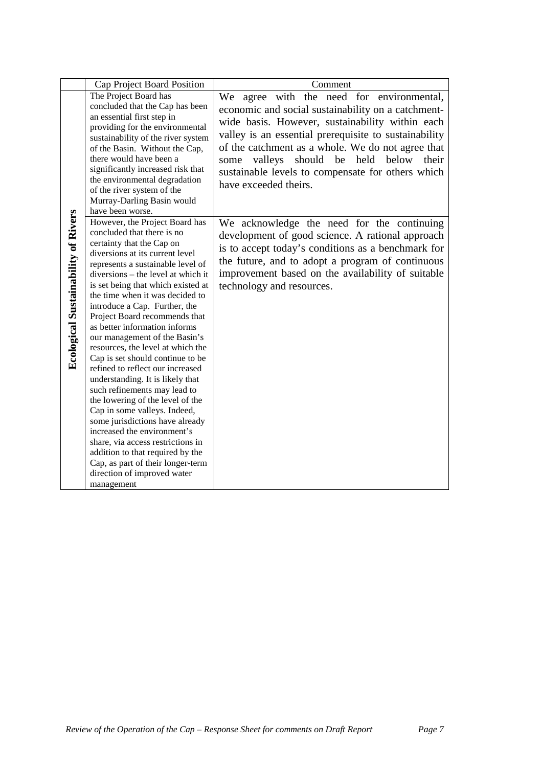|                                            | Cap Project Board Position                                                                                                                                                                                                                                                                                                                                                                                                                                                                                                                                                                                                                                                                                                                                                                                                                                                                             | Comment                                                                                                                                                                                                                                                                                                                                                                                            |
|--------------------------------------------|--------------------------------------------------------------------------------------------------------------------------------------------------------------------------------------------------------------------------------------------------------------------------------------------------------------------------------------------------------------------------------------------------------------------------------------------------------------------------------------------------------------------------------------------------------------------------------------------------------------------------------------------------------------------------------------------------------------------------------------------------------------------------------------------------------------------------------------------------------------------------------------------------------|----------------------------------------------------------------------------------------------------------------------------------------------------------------------------------------------------------------------------------------------------------------------------------------------------------------------------------------------------------------------------------------------------|
|                                            | The Project Board has<br>concluded that the Cap has been<br>an essential first step in<br>providing for the environmental<br>sustainability of the river system<br>of the Basin. Without the Cap,<br>there would have been a<br>significantly increased risk that<br>the environmental degradation<br>of the river system of the<br>Murray-Darling Basin would<br>have been worse.                                                                                                                                                                                                                                                                                                                                                                                                                                                                                                                     | We agree with the need for environmental,<br>economic and social sustainability on a catchment-<br>wide basis. However, sustainability within each<br>valley is an essential prerequisite to sustainability<br>of the catchment as a whole. We do not agree that<br>valleys should be held<br>below<br>their<br>some<br>sustainable levels to compensate for others which<br>have exceeded theirs. |
| <b>Ecological Sustainability of Rivers</b> | However, the Project Board has<br>concluded that there is no<br>certainty that the Cap on<br>diversions at its current level<br>represents a sustainable level of<br>diversions - the level at which it<br>is set being that which existed at<br>the time when it was decided to<br>introduce a Cap. Further, the<br>Project Board recommends that<br>as better information informs<br>our management of the Basin's<br>resources, the level at which the<br>Cap is set should continue to be<br>refined to reflect our increased<br>understanding. It is likely that<br>such refinements may lead to<br>the lowering of the level of the<br>Cap in some valleys. Indeed,<br>some jurisdictions have already<br>increased the environment's<br>share, via access restrictions in<br>addition to that required by the<br>Cap, as part of their longer-term<br>direction of improved water<br>management | We acknowledge the need for the continuing<br>development of good science. A rational approach<br>is to accept today's conditions as a benchmark for<br>the future, and to adopt a program of continuous<br>improvement based on the availability of suitable<br>technology and resources.                                                                                                         |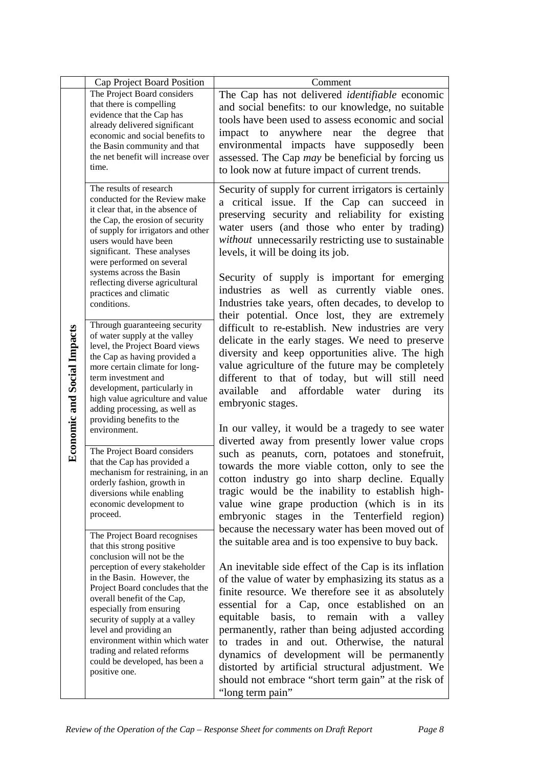|                                    | Cap Project Board Position                                                                                                                                                                                                                                                                                                                                                                                                              | Comment                                                                                                                                                                                                                                                                                                                                                                                                                                                                                                                                                                                                                    |
|------------------------------------|-----------------------------------------------------------------------------------------------------------------------------------------------------------------------------------------------------------------------------------------------------------------------------------------------------------------------------------------------------------------------------------------------------------------------------------------|----------------------------------------------------------------------------------------------------------------------------------------------------------------------------------------------------------------------------------------------------------------------------------------------------------------------------------------------------------------------------------------------------------------------------------------------------------------------------------------------------------------------------------------------------------------------------------------------------------------------------|
|                                    | The Project Board considers<br>that there is compelling<br>evidence that the Cap has<br>already delivered significant<br>economic and social benefits to<br>the Basin community and that<br>the net benefit will increase over<br>time.                                                                                                                                                                                                 | The Cap has not delivered <i>identifiable</i> economic<br>and social benefits: to our knowledge, no suitable<br>tools have been used to assess economic and social<br>degree<br>anywhere near<br>the<br>impact to<br>that<br>environmental impacts have supposedly been<br>assessed. The Cap <i>may</i> be beneficial by forcing us<br>to look now at future impact of current trends.                                                                                                                                                                                                                                     |
|                                    | The results of research<br>conducted for the Review make<br>it clear that, in the absence of<br>the Cap, the erosion of security<br>of supply for irrigators and other<br>users would have been<br>significant. These analyses<br>were performed on several<br>systems across the Basin<br>reflecting diverse agricultural<br>practices and climatic<br>conditions.                                                                     | Security of supply for current irrigators is certainly<br>a critical issue. If the Cap can succeed in<br>preserving security and reliability for existing<br>water users (and those who enter by trading)<br><i>without</i> unnecessarily restricting use to sustainable<br>levels, it will be doing its job.<br>Security of supply is important for emerging<br>industries as well as currently viable ones.<br>Industries take years, often decades, to develop to<br>their potential. Once lost, they are extremely                                                                                                     |
| <b>Economic and Social Impacts</b> | Through guaranteeing security<br>of water supply at the valley<br>level, the Project Board views<br>the Cap as having provided a<br>more certain climate for long-<br>term investment and<br>development, particularly in<br>high value agriculture and value<br>adding processing, as well as<br>providing benefits to the<br>environment.                                                                                             | difficult to re-establish. New industries are very<br>delicate in the early stages. We need to preserve<br>diversity and keep opportunities alive. The high<br>value agriculture of the future may be completely<br>different to that of today, but will still need<br>available<br>and affordable water<br>during<br>its<br>embryonic stages.<br>In our valley, it would be a tragedy to see water                                                                                                                                                                                                                        |
|                                    | The Project Board considers<br>that the Cap has provided a<br>mechanism for restraining, in an<br>orderly fashion, growth in<br>diversions while enabling<br>economic development to<br>proceed.                                                                                                                                                                                                                                        | diverted away from presently lower value crops<br>such as peanuts, corn, potatoes and stonefruit,<br>towards the more viable cotton, only to see the<br>cotton industry go into sharp decline. Equally<br>tragic would be the inability to establish high-<br>value wine grape production (which is in its<br>embryonic stages in the Tenterfield region)<br>because the necessary water has been moved out of                                                                                                                                                                                                             |
|                                    | The Project Board recognises<br>that this strong positive<br>conclusion will not be the<br>perception of every stakeholder<br>in the Basin. However, the<br>Project Board concludes that the<br>overall benefit of the Cap,<br>especially from ensuring<br>security of supply at a valley<br>level and providing an<br>environment within which water<br>trading and related reforms<br>could be developed, has been a<br>positive one. | the suitable area and is too expensive to buy back.<br>An inevitable side effect of the Cap is its inflation<br>of the value of water by emphasizing its status as a<br>finite resource. We therefore see it as absolutely<br>essential for a Cap, once established on an<br>equitable basis, to remain with<br>valley<br><sub>a</sub><br>permanently, rather than being adjusted according<br>to trades in and out. Otherwise, the natural<br>dynamics of development will be permanently<br>distorted by artificial structural adjustment. We<br>should not embrace "short term gain" at the risk of<br>"long term pain" |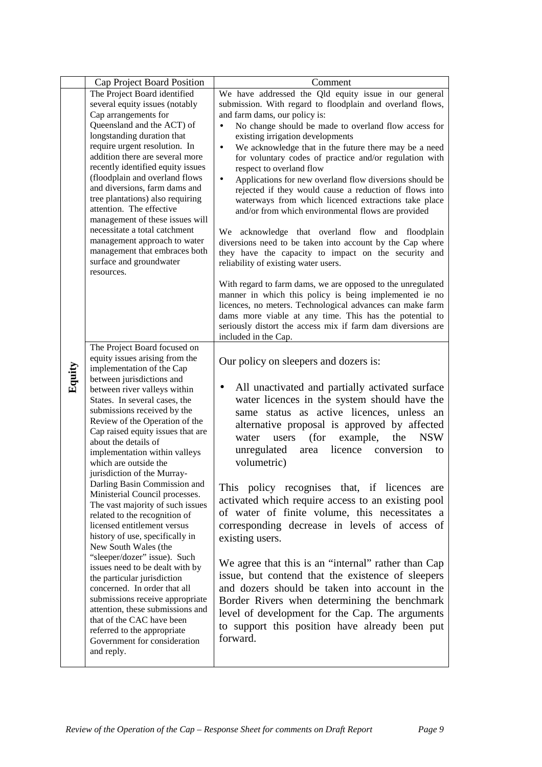|        | Cap Project Board Position                                                                                                                                                                                                                                                                                                                                                                                                                                                                                                                                                   | Comment                                                                                                                                                                                                                                                                                                                                                                                                                                                                                                                                                                                                                                                                                                                                                                                                                                                                                                                                                  |
|--------|------------------------------------------------------------------------------------------------------------------------------------------------------------------------------------------------------------------------------------------------------------------------------------------------------------------------------------------------------------------------------------------------------------------------------------------------------------------------------------------------------------------------------------------------------------------------------|----------------------------------------------------------------------------------------------------------------------------------------------------------------------------------------------------------------------------------------------------------------------------------------------------------------------------------------------------------------------------------------------------------------------------------------------------------------------------------------------------------------------------------------------------------------------------------------------------------------------------------------------------------------------------------------------------------------------------------------------------------------------------------------------------------------------------------------------------------------------------------------------------------------------------------------------------------|
| Equity | The Project Board identified<br>several equity issues (notably<br>Cap arrangements for<br>Queensland and the ACT) of<br>longstanding duration that<br>require urgent resolution. In<br>addition there are several more<br>recently identified equity issues<br>(floodplain and overland flows<br>and diversions, farm dams and<br>tree plantations) also requiring<br>attention. The effective<br>management of these issues will<br>necessitate a total catchment<br>management approach to water<br>management that embraces both<br>surface and groundwater<br>resources. | We have addressed the Qld equity issue in our general<br>submission. With regard to floodplain and overland flows,<br>and farm dams, our policy is:<br>No change should be made to overland flow access for<br>$\bullet$<br>existing irrigation developments<br>We acknowledge that in the future there may be a need<br>$\bullet$<br>for voluntary codes of practice and/or regulation with<br>respect to overland flow<br>Applications for new overland flow diversions should be<br>$\bullet$<br>rejected if they would cause a reduction of flows into<br>waterways from which licenced extractions take place<br>and/or from which environmental flows are provided<br>We acknowledge that overland flow and floodplain<br>diversions need to be taken into account by the Cap where<br>they have the capacity to impact on the security and<br>reliability of existing water users.<br>With regard to farm dams, we are opposed to the unregulated |
|        | The Project Board focused on<br>equity issues arising from the                                                                                                                                                                                                                                                                                                                                                                                                                                                                                                               | manner in which this policy is being implemented ie no<br>licences, no meters. Technological advances can make farm<br>dams more viable at any time. This has the potential to<br>seriously distort the access mix if farm dam diversions are<br>included in the Cap.                                                                                                                                                                                                                                                                                                                                                                                                                                                                                                                                                                                                                                                                                    |
|        | implementation of the Cap<br>between jurisdictions and<br>between river valleys within<br>States. In several cases, the<br>submissions received by the<br>Review of the Operation of the<br>Cap raised equity issues that are<br>about the details of<br>implementation within valleys<br>which are outside the                                                                                                                                                                                                                                                              | Our policy on sleepers and dozers is:<br>All unactivated and partially activated surface<br>$\bullet$<br>water licences in the system should have the<br>same status as active licences, unless an<br>alternative proposal is approved by affected<br>(for<br><b>NSW</b><br>users<br>example,<br>the<br>water<br>unregulated<br>licence<br>conversion<br>area<br>to<br>volumetric)                                                                                                                                                                                                                                                                                                                                                                                                                                                                                                                                                                       |
|        | jurisdiction of the Murray-<br>Darling Basin Commission and<br>Ministerial Council processes.<br>The vast majority of such issues<br>related to the recognition of<br>licensed entitlement versus<br>history of use, specifically in<br>New South Wales (the                                                                                                                                                                                                                                                                                                                 | This policy recognises that, if licences<br>are<br>activated which require access to an existing pool<br>of water of finite volume, this necessitates a<br>corresponding decrease in levels of access of<br>existing users.                                                                                                                                                                                                                                                                                                                                                                                                                                                                                                                                                                                                                                                                                                                              |
|        | "sleeper/dozer" issue). Such<br>issues need to be dealt with by<br>the particular jurisdiction<br>concerned. In order that all<br>submissions receive appropriate<br>attention, these submissions and<br>that of the CAC have been<br>referred to the appropriate<br>Government for consideration<br>and reply.                                                                                                                                                                                                                                                              | We agree that this is an "internal" rather than Cap<br>issue, but contend that the existence of sleepers<br>and dozers should be taken into account in the<br>Border Rivers when determining the benchmark<br>level of development for the Cap. The arguments<br>to support this position have already been put<br>forward.                                                                                                                                                                                                                                                                                                                                                                                                                                                                                                                                                                                                                              |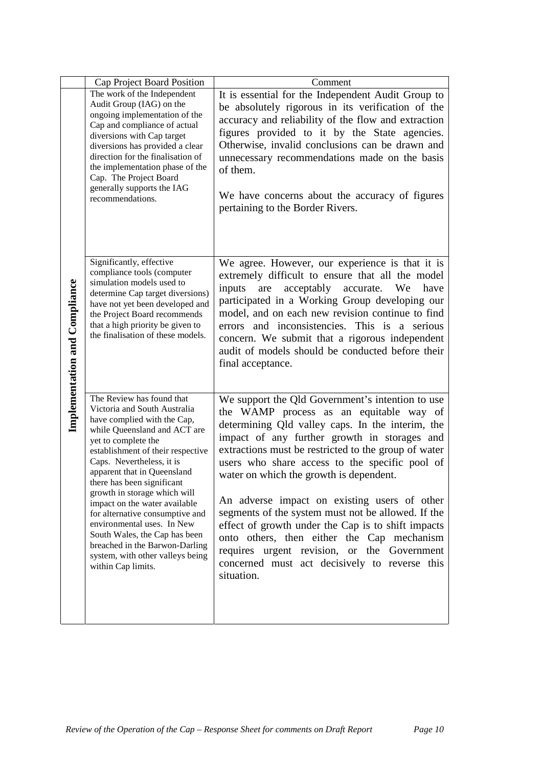|                               | Cap Project Board Position                                                                                                                                                                                                                                                                                                                                                                                                                                                                                                                    | Comment                                                                                                                                                                                                                                                                                                                                                                                                                                                                                                                                                                                                                                                                      |
|-------------------------------|-----------------------------------------------------------------------------------------------------------------------------------------------------------------------------------------------------------------------------------------------------------------------------------------------------------------------------------------------------------------------------------------------------------------------------------------------------------------------------------------------------------------------------------------------|------------------------------------------------------------------------------------------------------------------------------------------------------------------------------------------------------------------------------------------------------------------------------------------------------------------------------------------------------------------------------------------------------------------------------------------------------------------------------------------------------------------------------------------------------------------------------------------------------------------------------------------------------------------------------|
| Implementation and Compliance | The work of the Independent<br>Audit Group (IAG) on the<br>ongoing implementation of the<br>Cap and compliance of actual<br>diversions with Cap target<br>diversions has provided a clear<br>direction for the finalisation of<br>the implementation phase of the<br>Cap. The Project Board<br>generally supports the IAG<br>recommendations.                                                                                                                                                                                                 | It is essential for the Independent Audit Group to<br>be absolutely rigorous in its verification of the<br>accuracy and reliability of the flow and extraction<br>figures provided to it by the State agencies.<br>Otherwise, invalid conclusions can be drawn and<br>unnecessary recommendations made on the basis<br>of them.<br>We have concerns about the accuracy of figures<br>pertaining to the Border Rivers.                                                                                                                                                                                                                                                        |
|                               | Significantly, effective<br>compliance tools (computer<br>simulation models used to<br>determine Cap target diversions)<br>have not yet been developed and<br>the Project Board recommends<br>that a high priority be given to<br>the finalisation of these models.                                                                                                                                                                                                                                                                           | We agree. However, our experience is that it is<br>extremely difficult to ensure that all the model<br>acceptably<br>inputs<br>are<br>accurate. We<br>have<br>participated in a Working Group developing our<br>model, and on each new revision continue to find<br>errors and inconsistencies. This is a serious<br>concern. We submit that a rigorous independent<br>audit of models should be conducted before their<br>final acceptance.                                                                                                                                                                                                                                 |
|                               | The Review has found that<br>Victoria and South Australia<br>have complied with the Cap,<br>while Queensland and ACT are<br>yet to complete the<br>establishment of their respective<br>Caps. Nevertheless, it is<br>apparent that in Queensland<br>there has been significant<br>growth in storage which will<br>impact on the water available<br>for alternative consumptive and<br>environmental uses. In New<br>South Wales, the Cap has been<br>breached in the Barwon-Darling<br>system, with other valleys being<br>within Cap limits. | We support the Qld Government's intention to use<br>the WAMP process as an equitable way of<br>determining Qld valley caps. In the interim, the<br>impact of any further growth in storages and<br>extractions must be restricted to the group of water<br>users who share access to the specific pool of<br>water on which the growth is dependent.<br>An adverse impact on existing users of other<br>segments of the system must not be allowed. If the<br>effect of growth under the Cap is to shift impacts<br>onto others, then either the Cap mechanism<br>requires urgent revision, or the Government<br>concerned must act decisively to reverse this<br>situation. |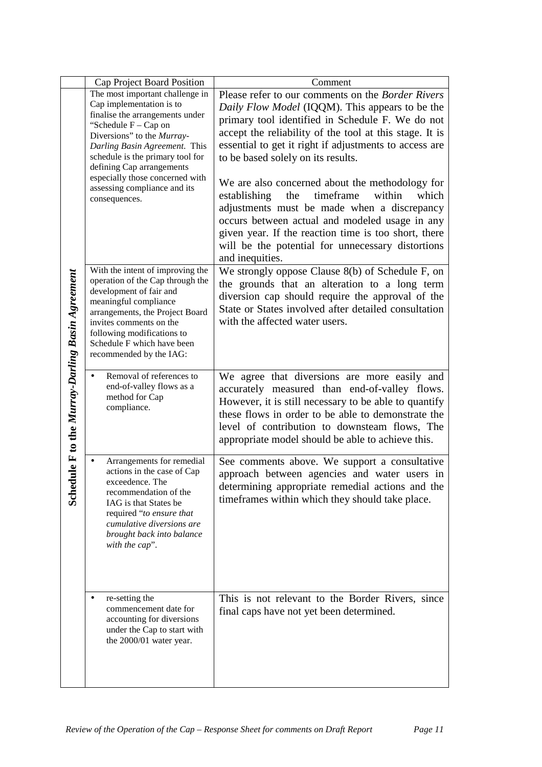|                                                       | Cap Project Board Position                                                                                                                                                                                                                                                                                                                   | Comment                                                                                                                                                                                                                                                                                                                                                                                                                                                                                                                        |
|-------------------------------------------------------|----------------------------------------------------------------------------------------------------------------------------------------------------------------------------------------------------------------------------------------------------------------------------------------------------------------------------------------------|--------------------------------------------------------------------------------------------------------------------------------------------------------------------------------------------------------------------------------------------------------------------------------------------------------------------------------------------------------------------------------------------------------------------------------------------------------------------------------------------------------------------------------|
|                                                       | The most important challenge in<br>Cap implementation is to<br>finalise the arrangements under<br>"Schedule $F - Cap$ on<br>Diversions" to the Murray-<br>Darling Basin Agreement. This<br>schedule is the primary tool for<br>defining Cap arrangements<br>especially those concerned with<br>assessing compliance and its<br>consequences. | Please refer to our comments on the Border Rivers<br>Daily Flow Model (IQQM). This appears to be the<br>primary tool identified in Schedule F. We do not<br>accept the reliability of the tool at this stage. It is<br>essential to get it right if adjustments to access are<br>to be based solely on its results.<br>We are also concerned about the methodology for<br>timeframe<br>which<br>establishing<br>the<br>within<br>adjustments must be made when a discrepancy<br>occurs between actual and modeled usage in any |
|                                                       |                                                                                                                                                                                                                                                                                                                                              | given year. If the reaction time is too short, there<br>will be the potential for unnecessary distortions<br>and inequities.                                                                                                                                                                                                                                                                                                                                                                                                   |
| dule F to the Murray-Darling Basin Agreement<br>Sched | With the intent of improving the<br>operation of the Cap through the<br>development of fair and<br>meaningful compliance<br>arrangements, the Project Board<br>invites comments on the<br>following modifications to<br>Schedule F which have been<br>recommended by the IAG:                                                                | We strongly oppose Clause 8(b) of Schedule F, on<br>the grounds that an alteration to a long term<br>diversion cap should require the approval of the<br>State or States involved after detailed consultation<br>with the affected water users.                                                                                                                                                                                                                                                                                |
|                                                       | Removal of references to<br>$\bullet$<br>end-of-valley flows as a<br>method for Cap<br>compliance.                                                                                                                                                                                                                                           | We agree that diversions are more easily and<br>accurately measured than end-of-valley flows.<br>However, it is still necessary to be able to quantify<br>these flows in order to be able to demonstrate the<br>level of contribution to downsteam flows, The<br>appropriate model should be able to achieve this.                                                                                                                                                                                                             |
|                                                       | Arrangements for remedial<br>actions in the case of Cap<br>exceedence. The<br>recommendation of the<br>IAG is that States be<br>required "to ensure that<br>cumulative diversions are<br>brought back into balance<br>with the cap".                                                                                                         | See comments above. We support a consultative<br>approach between agencies and water users in<br>determining appropriate remedial actions and the<br>timeframes within which they should take place.                                                                                                                                                                                                                                                                                                                           |
|                                                       | re-setting the<br>commencement date for<br>accounting for diversions<br>under the Cap to start with<br>the 2000/01 water year.                                                                                                                                                                                                               | This is not relevant to the Border Rivers, since<br>final caps have not yet been determined.                                                                                                                                                                                                                                                                                                                                                                                                                                   |